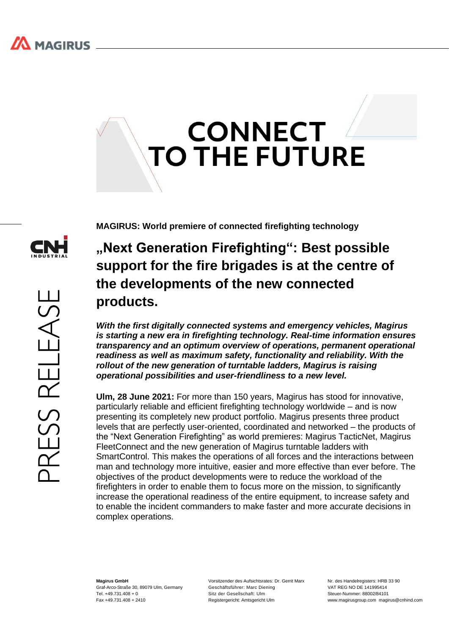# **CONNECT TO THE FUTURE**

ESS RELEASE

**MAGIRUS: World premiere of connected firefighting technology**

## **"Next Generation Firefighting": Best possible support for the fire brigades is at the centre of the developments of the new connected products.**

*With the first digitally connected systems and emergency vehicles, Magirus is starting a new era in firefighting technology. Real-time information ensures transparency and an optimum overview of operations, permanent operational readiness as well as maximum safety, functionality and reliability. With the rollout of the new generation of turntable ladders, Magirus is raising operational possibilities and user-friendliness to a new level.*

**Ulm, 28 June 2021:** For more than 150 years, Magirus has stood for innovative, particularly reliable and efficient firefighting technology worldwide – and is now presenting its completely new product portfolio. Magirus presents three product levels that are perfectly user-oriented, coordinated and networked – the products of the "Next Generation Firefighting" as world premieres: Magirus TacticNet, Magirus FleetConnect and the new generation of Magirus turntable ladders with SmartControl. This makes the operations of all forces and the interactions between man and technology more intuitive, easier and more effective than ever before. The objectives of the product developments were to reduce the workload of the firefighters in order to enable them to focus more on the mission, to significantly increase the operational readiness of the entire equipment, to increase safety and to enable the incident commanders to make faster and more accurate decisions in complex operations.

**Magirus GmbH** Graf-Arco-Straße 30, 89079 Ulm, Germany  $Tel +49731408 + 0$ Fax +49.731.408 + 2410

Vorsitzender des Aufsichtsrates: Dr. Gerrit Marx Geschäftsführer: Marc Diening Sitz der Gesellschaft: Ulm Registergericht: Amtsgericht Ulm

Nr. des Handelregisters: HRB 33.90 VAT REG NO DE 141995414 Steuer-Nummer: 88002/84101 www.magirusgroup.com magirus@cnhind.com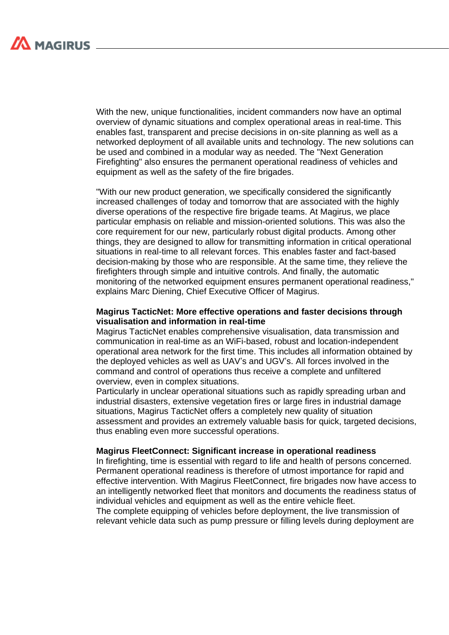With the new, unique functionalities, incident commanders now have an optimal overview of dynamic situations and complex operational areas in real-time. This enables fast, transparent and precise decisions in on-site planning as well as a networked deployment of all available units and technology. The new solutions can be used and combined in a modular way as needed. The "Next Generation Firefighting" also ensures the permanent operational readiness of vehicles and equipment as well as the safety of the fire brigades.

"With our new product generation, we specifically considered the significantly increased challenges of today and tomorrow that are associated with the highly diverse operations of the respective fire brigade teams. At Magirus, we place particular emphasis on reliable and mission-oriented solutions. This was also the core requirement for our new, particularly robust digital products. Among other things, they are designed to allow for transmitting information in critical operational situations in real-time to all relevant forces. This enables faster and fact-based decision-making by those who are responsible. At the same time, they relieve the firefighters through simple and intuitive controls. And finally, the automatic monitoring of the networked equipment ensures permanent operational readiness," explains Marc Diening, Chief Executive Officer of Magirus.

### **Magirus TacticNet: More effective operations and faster decisions through visualisation and information in real-time**

Magirus TacticNet enables comprehensive visualisation, data transmission and communication in real-time as an WiFi-based, robust and location-independent operational area network for the first time. This includes all information obtained by the deployed vehicles as well as UAV's and UGV's. All forces involved in the command and control of operations thus receive a complete and unfiltered overview, even in complex situations.

Particularly in unclear operational situations such as rapidly spreading urban and industrial disasters, extensive vegetation fires or large fires in industrial damage situations, Magirus TacticNet offers a completely new quality of situation assessment and provides an extremely valuable basis for quick, targeted decisions, thus enabling even more successful operations.

#### **Magirus FleetConnect: Significant increase in operational readiness**

In firefighting, time is essential with regard to life and health of persons concerned. Permanent operational readiness is therefore of utmost importance for rapid and effective intervention. With Magirus FleetConnect, fire brigades now have access to an intelligently networked fleet that monitors and documents the readiness status of individual vehicles and equipment as well as the entire vehicle fleet.

The complete equipping of vehicles before deployment, the live transmission of relevant vehicle data such as pump pressure or filling levels during deployment are